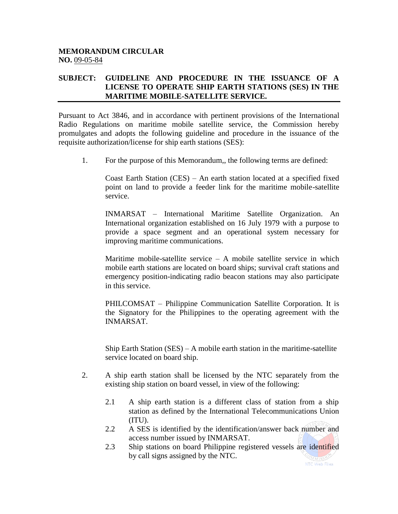## **MEMORANDUM CIRCULAR NO.** 09-05-84

## **SUBJECT: GUIDELINE AND PROCEDURE IN THE ISSUANCE OF A LICENSE TO OPERATE SHIP EARTH STATIONS (SES) IN THE MARITIME MOBILE-SATELLITE SERVICE.**

Pursuant to Act 3846, and in accordance with pertinent provisions of the International Radio Regulations on maritime mobile satellite service, the Commission hereby promulgates and adopts the following guideline and procedure in the issuance of the requisite authorization/license for ship earth stations (SES):

1. For the purpose of this Memorandum,, the following terms are defined:

Coast Earth Station (CES) – An earth station located at a specified fixed point on land to provide a feeder link for the maritime mobile-satellite service.

INMARSAT – International Maritime Satellite Organization. An International organization established on 16 July 1979 with a purpose to provide a space segment and an operational system necessary for improving maritime communications.

Maritime mobile-satellite service  $- A$  mobile satellite service in which mobile earth stations are located on board ships; survival craft stations and emergency position-indicating radio beacon stations may also participate in this service.

PHILCOMSAT – Philippine Communication Satellite Corporation. It is the Signatory for the Philippines to the operating agreement with the INMARSAT.

Ship Earth Station (SES) – A mobile earth station in the maritime-satellite service located on board ship.

- 2. A ship earth station shall be licensed by the NTC separately from the existing ship station on board vessel, in view of the following:
	- 2.1 A ship earth station is a different class of station from a ship station as defined by the International Telecommunications Union (ITU).
	- 2.2 A SES is identified by the identification/answer back number and access number issued by INMARSAT.
	- 2.3 Ship stations on board Philippine registered vessels are identified by call signs assigned by the NTC.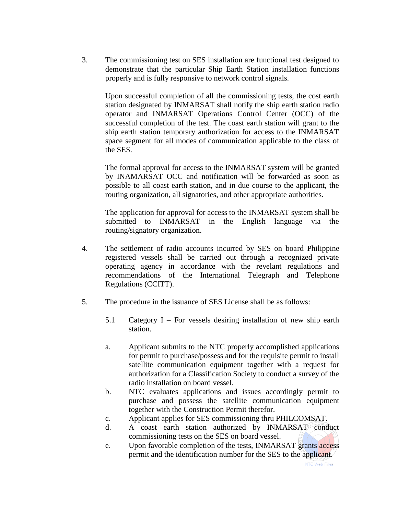3. The commissioning test on SES installation are functional test designed to demonstrate that the particular Ship Earth Station installation functions properly and is fully responsive to network control signals.

Upon successful completion of all the commissioning tests, the cost earth station designated by INMARSAT shall notify the ship earth station radio operator and INMARSAT Operations Control Center (OCC) of the successful completion of the test. The coast earth station will grant to the ship earth station temporary authorization for access to the INMARSAT space segment for all modes of communication applicable to the class of the SES.

The formal approval for access to the INMARSAT system will be granted by INAMARSAT OCC and notification will be forwarded as soon as possible to all coast earth station, and in due course to the applicant, the routing organization, all signatories, and other appropriate authorities.

The application for approval for access to the INMARSAT system shall be submitted to INMARSAT in the English language via the routing/signatory organization.

- 4. The settlement of radio accounts incurred by SES on board Philippine registered vessels shall be carried out through a recognized private operating agency in accordance with the revelant regulations and recommendations of the International Telegraph and Telephone Regulations (CCITT).
- 5. The procedure in the issuance of SES License shall be as follows:
	- 5.1 Category I For vessels desiring installation of new ship earth station.
	- a. Applicant submits to the NTC properly accomplished applications for permit to purchase/possess and for the requisite permit to install satellite communication equipment together with a request for authorization for a Classification Society to conduct a survey of the radio installation on board vessel.
	- b. NTC evaluates applications and issues accordingly permit to purchase and possess the satellite communication equipment together with the Construction Permit therefor.
	- c. Applicant applies for SES commissioning thru PHILCOMSAT.
	- d. A coast earth station authorized by INMARSAT conduct commissioning tests on the SES on board vessel.
	- e. Upon favorable completion of the tests, INMARSAT grants access permit and the identification number for the SES to the applicant.